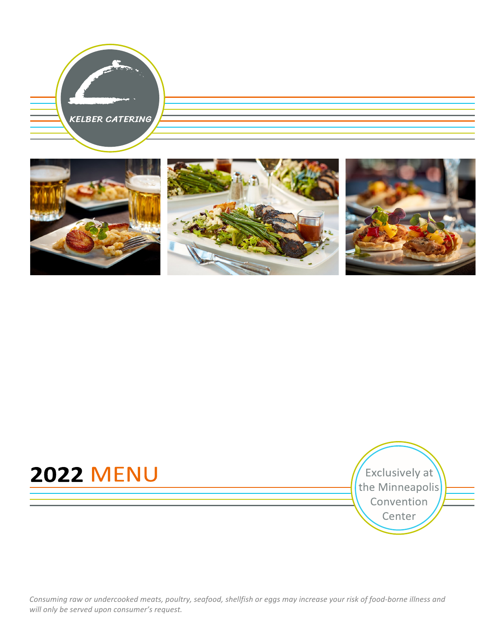



# **2022 MENU**

Exclusively at the Minneapolis Convention Center

*Consuming raw or undercooked meats, poultry, seafood, shellfish or eggs may increase your risk of food-borne illness and* will only be served upon consumer's request.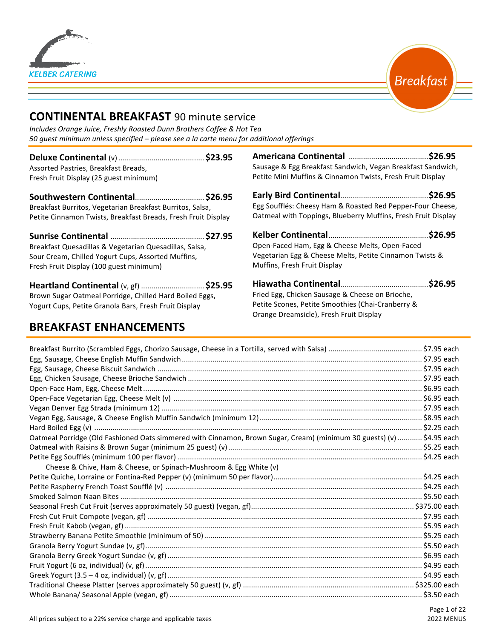



## **CONTINENTAL BREAKFAST** 90 minute service

*Includes Orange Juice, Freshly Roasted Dunn Brothers Coffee & Hot Tea 50 guest minimum unless specified – please see a la carte menu for additional offerings*

**Deluxe Continental** (v) .......................................... **\$23.95** Assorted Pastries, Breakfast Breads, Fresh Fruit Display (25 guest minimum)

**Southwestern Continental**.................................. **\$26.95** Breakfast Burritos, Vegetarian Breakfast Burritos, Salsa, Petite Cinnamon Twists, Breakfast Breads, Fresh Fruit Display

**Sunrise Continental** .............................................. **\$27.95** Breakfast Quesadillas & Vegetarian Quesadillas, Salsa, Sour Cream, Chilled Yogurt Cups, Assorted Muffins, Fresh Fruit Display (100 guest minimum)

**Heartland Continental** (v, gf) ................................. \$25.95 Brown Sugar Oatmeal Porridge, Chilled Hard Boiled Eggs, Yogurt Cups, Petite Granola Bars, Fresh Fruit Display

## **BREAKFAST ENHANCEMENTS**

**Americana Continental**  .......................................**\$26.95** Sausage & Egg Breakfast Sandwich, Vegan Breakfast Sandwich, Petite Mini Muffins & Cinnamon Twists, Fresh Fruit Display

**Early Bird Continental**...........................................**\$26.95** Egg Soufflés: Cheesy Ham & Roasted Red Pepper-Four Cheese, Oatmeal with Toppings, Blueberry Muffins, Fresh Fruit Display

| Open-Faced Ham, Egg & Cheese Melts, Open-Faced          |  |
|---------------------------------------------------------|--|
| Vegetarian Egg & Cheese Melts, Petite Cinnamon Twists & |  |
| Muffins, Fresh Fruit Display                            |  |
|                                                         |  |

**Hiawatha Continental**...........................................**\$26.95**  Fried Egg, Chicken Sausage & Cheese on Brioche, Petite Scones, Petite Smoothies (Chai-Cranberry & Orange Dreamsicle), Fresh Fruit Display

| Oatmeal Porridge (Old Fashioned Oats simmered with Cinnamon, Brown Sugar, Cream) (minimum 30 guests) (v)  \$4.95 each |  |
|-----------------------------------------------------------------------------------------------------------------------|--|
|                                                                                                                       |  |
|                                                                                                                       |  |
| Cheese & Chive, Ham & Cheese, or Spinach-Mushroom & Egg White (v)                                                     |  |
|                                                                                                                       |  |
|                                                                                                                       |  |
|                                                                                                                       |  |
|                                                                                                                       |  |
|                                                                                                                       |  |
|                                                                                                                       |  |
|                                                                                                                       |  |
|                                                                                                                       |  |
|                                                                                                                       |  |
|                                                                                                                       |  |
|                                                                                                                       |  |
|                                                                                                                       |  |
|                                                                                                                       |  |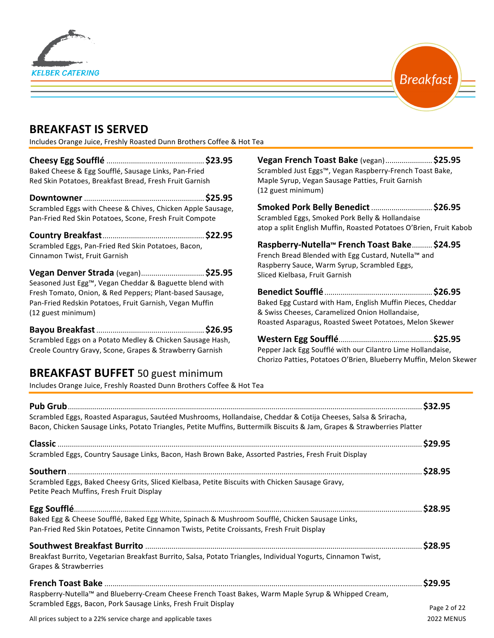



## **BREAKFAST IS SERVED**

Includes Orange Juice, Freshly Roasted Dunn Brothers Coffee & Hot Tea

**Cheesy Egg Soufflé** ................................................ **\$23.95** Baked Cheese & Egg Soufflé, Sausage Links, Pan-Fried Red Skin Potatoes, Breakfast Bread, Fresh Fruit Garnish **Downtowner** ........................................................... **\$25.95**

Scrambled Eggs with Cheese & Chives, Chicken Apple Sausage, Pan-Fried Red Skin Potatoes, Scone, Fresh Fruit Compote

**Country Breakfast**.................................................. **\$22.95** Scrambled Eggs, Pan-Fried Red Skin Potatoes, Bacon, Cinnamon Twist, Fruit Garnish

**Vegan Denver Strada** (vegan)............................... **\$25.95** Seasoned Just Egg™, Vegan Cheddar & Baguette blend with Fresh Tomato, Onion, & Red Peppers; Plant-based Sausage, Pan-Fried Redskin Potatoes, Fruit Garnish, Vegan Muffin (12 guest minimum)

**Bayou Breakfast**..................................................... **\$26.95** Scrambled Eggs on a Potato Medley & Chicken Sausage Hash, Creole Country Gravy, Scone, Grapes & Strawberry Garnish

## **BREAKFAST BUFFET** 50 guest minimum

Includes Orange Juice, Freshly Roasted Dunn Brothers Coffee & Hot Tea

**Vegan French Toast Bake** (vegan)....................... **\$25.95** Scrambled Just Eggs™, Vegan Raspberry-French Toast Bake, Maple Syrup, Vegan Sausage Patties, Fruit Garnish (12 guest minimum)

**Smoked Pork Belly Benedict**.............................. **\$26.95** Scrambled Eggs, Smoked Pork Belly & Hollandaise atop a split English Muffin, Roasted Potatoes O'Brien, Fruit Kabob

**Raspberry-Nutella™ French Toast Bake**.......... **\$24.95** French Bread Blended with Egg Custard, Nutella™ and

Raspberry Sauce, Warm Syrup, Scrambled Eggs, Sliced Kielbasa, Fruit Garnish

**Benedict Soufflé**..................................................... **\$26.95** Baked Egg Custard with Ham, English Muffin Pieces, Cheddar & Swiss Cheeses, Caramelized Onion Hollandaise, Roasted Asparagus, Roasted Sweet Potatoes, Melon Skewer

**Western Egg Soufflé**.............................................. **\$25.95** Pepper Jack Egg Soufflé with our Cilantro Lime Hollandaise, Chorizo Patties, Potatoes O'Brien, Blueberry Muffin, Melon Skewer

| Scrambled Eggs, Roasted Asparagus, Sautéed Mushrooms, Hollandaise, Cheddar & Cotija Cheeses, Salsa & Sriracha,<br>Bacon, Chicken Sausage Links, Potato Triangles, Petite Muffins, Buttermilk Biscuits & Jam, Grapes & Strawberries Platter |              |
|--------------------------------------------------------------------------------------------------------------------------------------------------------------------------------------------------------------------------------------------|--------------|
|                                                                                                                                                                                                                                            |              |
| Scrambled Eggs, Country Sausage Links, Bacon, Hash Brown Bake, Assorted Pastries, Fresh Fruit Display                                                                                                                                      |              |
| Scrambled Eggs, Baked Cheesy Grits, Sliced Kielbasa, Petite Biscuits with Chicken Sausage Gravy,<br>Petite Peach Muffins, Fresh Fruit Display                                                                                              |              |
| Baked Egg & Cheese Soufflé, Baked Egg White, Spinach & Mushroom Soufflé, Chicken Sausage Links,<br>Pan-Fried Red Skin Potatoes, Petite Cinnamon Twists, Petite Croissants, Fresh Fruit Display                                             |              |
| Breakfast Burrito, Vegetarian Breakfast Burrito, Salsa, Potato Triangles, Individual Yogurts, Cinnamon Twist,<br>Grapes & Strawberries                                                                                                     | \$28.95      |
|                                                                                                                                                                                                                                            |              |
| Raspberry-Nutella™ and Blueberry-Cream Cheese French Toast Bakes, Warm Maple Syrup & Whipped Cream,<br>Scrambled Eggs, Bacon, Pork Sausage Links, Fresh Fruit Display                                                                      | Page 2 of 22 |
| All prices subject to a 22% service charge and applicable taxes                                                                                                                                                                            | 2022 MENUS   |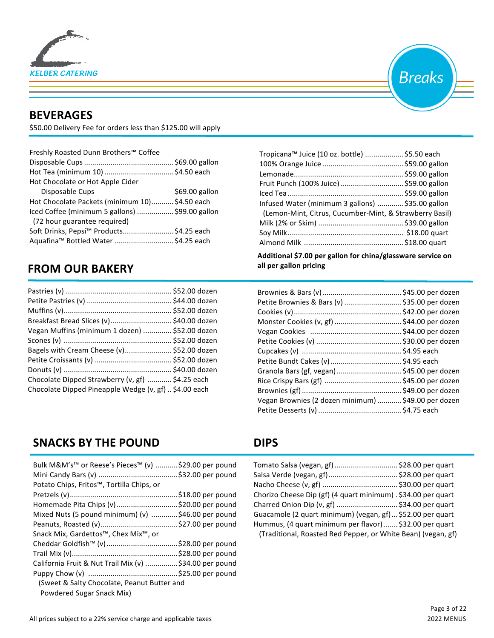

## **BEVERAGES**

\$50.00 Delivery Fee for orders less than \$125.00 will apply

| Freshly Roasted Dunn Brothers™ Coffee           |                |
|-------------------------------------------------|----------------|
|                                                 |                |
|                                                 |                |
| Hot Chocolate or Hot Apple Cider                |                |
| Disposable Cups                                 | \$69.00 gallon |
| Hot Chocolate Packets (minimum 10) \$4.50 each  |                |
| Iced Coffee (minimum 5 gallons)  \$99.00 gallon |                |
| (72 hour guarantee required)                    |                |
| Soft Drinks, Pepsi™ Products\$4.25 each         |                |
| Aquafina™ Bottled Water \$4.25 each             |                |
|                                                 |                |

## **FROM OUR BAKERY**

| Breakfast Bread Slices (v) \$40.00 dozen              |  |
|-------------------------------------------------------|--|
| Vegan Muffins (minimum 1 dozen)  \$52.00 dozen        |  |
|                                                       |  |
| Bagels with Cream Cheese (v) \$52.00 dozen            |  |
|                                                       |  |
|                                                       |  |
| Chocolate Dipped Strawberry (v, gf)  \$4.25 each      |  |
| Chocolate Dipped Pineapple Wedge (v, gf)  \$4.00 each |  |

## **SNACKS BY THE POUND**

| Bulk M&M's™ or Reese's Pieces™ (v) \$29.00 per pound   |  |
|--------------------------------------------------------|--|
| Potato Chips, Fritos™, Tortilla Chips, or              |  |
|                                                        |  |
| Homemade Pita Chips (v) \$20.00 per pound              |  |
| Mixed Nuts (5 pound minimum) (v) \$46.00 per pound     |  |
|                                                        |  |
| Snack Mix, Gardettos™, Chex Mix™, or                   |  |
| Cheddar Goldfish™ (v)\$28.00 per pound                 |  |
|                                                        |  |
| California Fruit & Nut Trail Mix (v) \$34.00 per pound |  |
|                                                        |  |
| (Sweet & Salty Chocolate, Peanut Butter and            |  |
| Powdered Sugar Snack Mix)                              |  |



| Tropicana™ Juice (10 oz. bottle) \$5.50 each            |  |
|---------------------------------------------------------|--|
|                                                         |  |
|                                                         |  |
| Fruit Punch (100% Juice)  \$59.00 gallon                |  |
|                                                         |  |
| Infused Water (minimum 3 gallons) \$35.00 gallon        |  |
| (Lemon-Mint, Citrus, Cucumber-Mint, & Strawberry Basil) |  |
|                                                         |  |
|                                                         |  |
|                                                         |  |
|                                                         |  |

 **Additional \$7.00 per gallon for china/glassware service on**  all per gallon pricing

| Petite Brownies & Bars (v)  \$35.00 per dozen       |  |
|-----------------------------------------------------|--|
|                                                     |  |
|                                                     |  |
|                                                     |  |
|                                                     |  |
|                                                     |  |
|                                                     |  |
| Granola Bars (gf, vegan)  \$45.00 per dozen         |  |
|                                                     |  |
|                                                     |  |
| Vegan Brownies (2 dozen minimum)  \$49.00 per dozen |  |
|                                                     |  |

## **DIPS**

| Tomato Salsa (vegan, gf)  \$28.00 per quart                   |
|---------------------------------------------------------------|
|                                                               |
|                                                               |
| Chorizo Cheese Dip (gf) (4 quart minimum) . \$34.00 per quart |
| Charred Onion Dip (v, gf)  \$34.00 per quart                  |
| Guacamole (2 quart minimum) (vegan, gf)  \$52.00 per quart    |
| Hummus, (4 quart minimum per flavor)  \$32.00 per quart       |
| (Traditional, Roasted Red Pepper, or White Bean) (vegan, gf)  |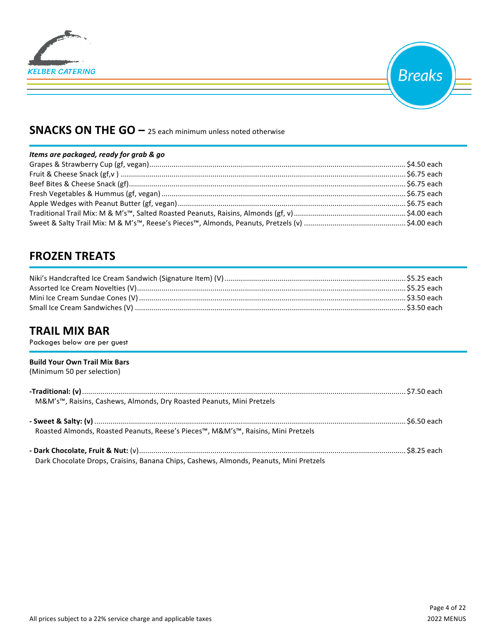



## **SNACKS ON THE GO** – 25 each minimum unless noted otherwise

#### *Items* are packaged, ready for grab & go

## **FROZEN TREATS**

## **TRAIL MIX BAR**

Packages below are per guest

#### **Build Your Own Trail Mix Bars**  (Minimum 50 per selection)

| M&M's™, Raisins, Cashews, Almonds, Dry Roasted Peanuts, Mini Pretzels                  |  |
|----------------------------------------------------------------------------------------|--|
| Roasted Almonds, Roasted Peanuts, Reese's Pieces™, M&M's™, Raisins, Mini Pretzels      |  |
| Dark Chocolate Drops, Craisins, Banana Chips, Cashews, Almonds, Peanuts, Mini Pretzels |  |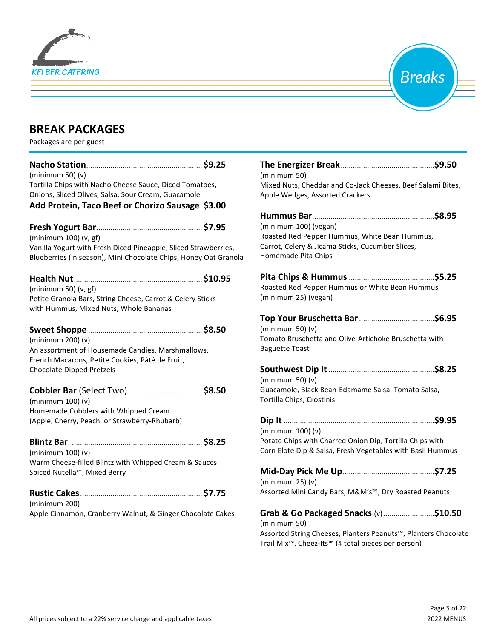



## **BREAK PACKAGES**

Packages are per guest

| (minimum 50) (v)                                                                                                                                              |  |
|---------------------------------------------------------------------------------------------------------------------------------------------------------------|--|
| Tortilla Chips with Nacho Cheese Sauce, Diced Tomatoes,<br>Onions, Sliced Olives, Salsa, Sour Cream, Guacamole                                                |  |
| Add Protein, Taco Beef or Chorizo Sausage. \$3.00                                                                                                             |  |
| (minimum 100) (v, gf)                                                                                                                                         |  |
| Vanilla Yogurt with Fresh Diced Pineapple, Sliced Strawberries,<br>Blueberries (in season), Mini Chocolate Chips, Honey Oat Granola                           |  |
|                                                                                                                                                               |  |
| (minimum 50) $(v, gf)$<br>Petite Granola Bars, String Cheese, Carrot & Celery Sticks<br>with Hummus, Mixed Nuts, Whole Bananas                                |  |
| (minimum 200) (v)<br>An assortment of Housemade Candies, Marshmallows,<br>French Macarons, Petite Cookies, Pâté de Fruit,<br><b>Chocolate Dipped Pretzels</b> |  |
| (minimum 100) (v)<br>Homemade Cobblers with Whipped Cream<br>(Apple, Cherry, Peach, or Strawberry-Rhubarb)                                                    |  |
| (minimum 100) (v)<br>Warm Cheese-filled Blintz with Whipped Cream & Sauces:<br>Spiced Nutella™, Mixed Berry                                                   |  |
| (minimum 200)<br>Apple Cinnamon, Cranberry Walnut, & Ginger Chocolate Cakes                                                                                   |  |

| (minimum 50)                                                                                                                                                                               |
|--------------------------------------------------------------------------------------------------------------------------------------------------------------------------------------------|
| Mixed Nuts, Cheddar and Co-Jack Cheeses, Beef Salami Bites,<br>Apple Wedges, Assorted Crackers                                                                                             |
| (minimum 100) (vegan)<br>Roasted Red Pepper Hummus, White Bean Hummus,<br>Carrot, Celery & Jicama Sticks, Cucumber Slices,<br>Homemade Pita Chips                                          |
| Roasted Red Pepper Hummus or White Bean Hummus<br>(minimum 25) (vegan)                                                                                                                     |
| (minimum 50) (v)<br>Tomato Bruschetta and Olive-Artichoke Bruschetta with<br><b>Baguette Toast</b>                                                                                         |
| (minimum 50) $(v)$<br>Guacamole, Black Bean-Edamame Salsa, Tomato Salsa,<br>Tortilla Chips, Crostinis                                                                                      |
| Dip It<br>(minimum 100) (v)<br>Potato Chips with Charred Onion Dip, Tortilla Chips with<br>Corn Elote Dip & Salsa, Fresh Vegetables with Basil Hummus                                      |
| (minimum 25) (v)<br>Assorted Mini Candy Bars, M&M's™, Dry Roasted Peanuts                                                                                                                  |
| Grab & Go Packaged Snacks (v) \$10.50<br>(minimum 50)<br>Assorted String Cheeses, Planters Peanuts™, Planters Chocolate<br>Trail Mix <sup>™</sup> . Cheez-Its™ (4 total pieces per person) |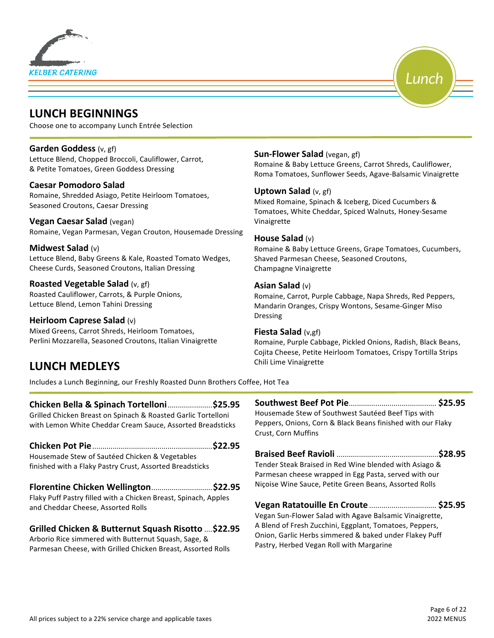





Choose one to accompany Lunch Entrée Selection

#### **Garden Goddess** (v, gf)

Lettuce Blend, Chopped Broccoli, Cauliflower, Carrot, & Petite Tomatoes, Green Goddess Dressing

#### **Caesar Pomodoro Salad**

Romaine, Shredded Asiago, Petite Heirloom Tomatoes, Seasoned Croutons, Caesar Dressing

#### **Vegan Caesar Salad** (vegan)

Romaine, Vegan Parmesan, Vegan Crouton, Housemade Dressing

#### **Midwest Salad** (v)

Lettuce Blend, Baby Greens & Kale, Roasted Tomato Wedges, Cheese Curds, Seasoned Croutons, Italian Dressing

#### **Roasted Vegetable Salad** (v, gf)

Roasted Cauliflower, Carrots, & Purple Onions, Lettuce Blend, Lemon Tahini Dressing

#### **Heirloom Caprese Salad** (v)

Mixed Greens, Carrot Shreds, Heirloom Tomatoes, Perlini Mozzarella, Seasoned Croutons, Italian Vinaigrette

## **LUNCH MEDLEYS**

**Sun-Flower Salad** (vegan, gf)

Romaine & Baby Lettuce Greens, Carrot Shreds, Cauliflower, Roma Tomatoes, Sunflower Seeds, Agave-Balsamic Vinaigrette

Lunch

#### **Uptown Salad** (v, gf)

Mixed Romaine, Spinach & Iceberg, Diced Cucumbers & Tomatoes, White Cheddar, Spiced Walnuts, Honey-Sesame Vinaigrette

#### **House Salad** (v)

Romaine & Baby Lettuce Greens, Grape Tomatoes, Cucumbers, Shaved Parmesan Cheese, Seasoned Croutons, Champagne Vinaigrette

#### **Asian Salad** (v)

Romaine, Carrot, Purple Cabbage, Napa Shreds, Red Peppers, Mandarin Oranges, Crispy Wontons, Sesame-Ginger Miso Dressing

#### **Fiesta Salad** (v,gf)

Romaine, Purple Cabbage, Pickled Onions, Radish, Black Beans, Cojita Cheese, Petite Heirloom Tomatoes, Crispy Tortilla Strips Chili Lime Vinaigrette

Includes a Lunch Beginning, our Freshly Roasted Dunn Brothers Coffee, Hot Tea

#### **Chicken Bella & Spinach Tortelloni**......................**\$25.95**

Grilled Chicken Breast on Spinach & Roasted Garlic Tortelloni with Lemon White Cheddar Cream Sauce, Assorted Breadsticks

#### **Chicken Pot Pie**...........................................................**\$22.95**

Housemade Stew of Sautéed Chicken & Vegetables finished with a Flaky Pastry Crust, Assorted Breadsticks

#### **Florentine Chicken Wellington**..............................**\$22.95**

Flaky Puff Pastry filled with a Chicken Breast, Spinach, Apples and Cheddar Cheese, Assorted Rolls

#### **Grilled Chicken & Butternut Squash Risotto** ....**\$22.95**

Arborio Rice simmered with Butternut Squash, Sage, & Parmesan Cheese, with Grilled Chicken Breast, Assorted Rolls **Southwest Beef Pot Pie**........................................... **\$25.95** Housemade Stew of Southwest Sautéed Beef Tips with Peppers, Onions, Corn & Black Beans finished with our Flaky Crust, Corn Muffins

**Braised Beef Ravioli** ..................................................**\$28.95** Tender Steak Braised in Red Wine blended with Asiago & Parmesan cheese wrapped in Egg Pasta, served with our Niçoise Wine Sauce, Petite Green Beans, Assorted Rolls

**Vegan Ratatouille En Croute** ................................. **\$25.95** Vegan Sun-Flower Salad with Agave Balsamic Vinaigrette, A Blend of Fresh Zucchini, Eggplant, Tomatoes, Peppers, Onion, Garlic Herbs simmered & baked under Flakey Puff Pastry, Herbed Vegan Roll with Margarine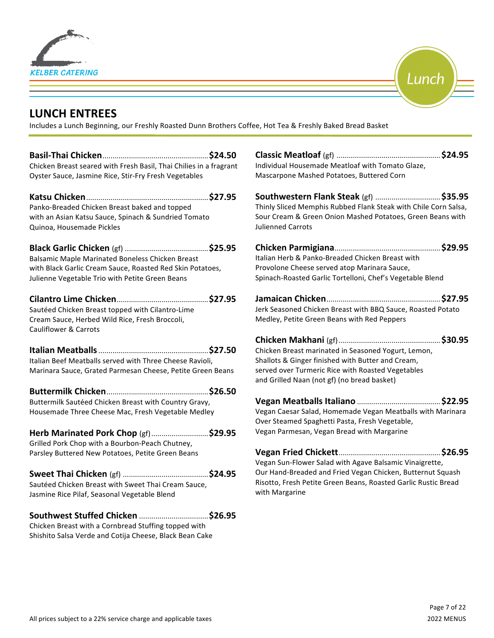



## **LUNCH ENTREES**

Includes a Lunch Beginning, our Freshly Roasted Dunn Brothers Coffee, Hot Tea & Freshly Baked Bread Basket

**Basil-Thai Chicken**....................................................**\$24.50** Chicken Breast seared with Fresh Basil, Thai Chilies in a fragrant Oyster Sauce, Jasmine Rice, Stir-Fry Fresh Vegetables

**Katsu Chicken**............................................................**\$27.95** Panko-Breaded Chicken Breast baked and topped with an Asian Katsu Sauce, Spinach & Sundried Tomato Quinoa, Housemade Pickles

**Black Garlic Chicken** (gf) .........................................**\$25.95** Balsamic Maple Marinated Boneless Chicken Breast with Black Garlic Cream Sauce, Roasted Red Skin Potatoes, Julienne Vegetable Trio with Petite Green Beans

#### **Cilantro Lime Chicken**.............................................**\$27.95**

Sautéed Chicken Breast topped with Cilantro-Lime Cream Sauce, Herbed Wild Rice, Fresh Broccoli, Cauliflower & Carrots

**Italian Meatballs**......................................................**\$27.50** Italian Beef Meatballs served with Three Cheese Ravioli, Marinara Sauce, Grated Parmesan Cheese, Petite Green Beans

#### **Buttermilk Chicken**..................................................**\$26.50** Buttermilk Sautéed Chicken Breast with Country Gravy, Housemade Three Cheese Mac, Fresh Vegetable Medley

| Herb Marinated Pork Chop (gf)\$29.95              |  |
|---------------------------------------------------|--|
| Grilled Pork Chop with a Bourbon-Peach Chutney,   |  |
| Parsley Buttered New Potatoes, Petite Green Beans |  |

| Sautéed Chicken Breast with Sweet Thai Cream Sauce, |  |
|-----------------------------------------------------|--|
| Jasmine Rice Pilaf, Seasonal Vegetable Blend        |  |

**Southwest Stuffed Chicken** ..................................**\$26.95**

Chicken Breast with a Cornbread Stuffing topped with Shishito Salsa Verde and Cotija Cheese, Black Bean Cake **Classic Meatloaf** (gf) ...................................................**\$24.95** Individual Housemade Meatloaf with Tomato Glaze, Mascarpone Mashed Potatoes, Buttered Corn

**Southwestern Flank Steak** (gf) ................................**\$35.95** Thinly Sliced Memphis Rubbed Flank Steak with Chile Corn Salsa, Sour Cream & Green Onion Mashed Potatoes, Green Beans with Julienned Carrots

| Italian Herb & Panko-Breaded Chicken Breast with          |  |
|-----------------------------------------------------------|--|
| Provolone Cheese served atop Marinara Sauce,              |  |
| Spinach-Roasted Garlic Tortelloni, Chef's Vegetable Blend |  |

**Jamaican Chicken**........................................................**\$27.95** Jerk Seasoned Chicken Breast with BBQ Sauce, Roasted Potato Medley, Petite Green Beans with Red Peppers

**Chicken Makhani** (gf)..................................................**\$30.95** Chicken Breast marinated in Seasoned Yogurt, Lemon, Shallots & Ginger finished with Butter and Cream, served over Turmeric Rice with Roasted Vegetables and Grilled Naan (not gf) (no bread basket)

**Vegan Meatballs Italiano** .........................................**\$22.95** Vegan Caesar Salad, Homemade Vegan Meatballs with Marinara Over Steamed Spaghetti Pasta, Fresh Vegetable, Vegan Parmesan, Vegan Bread with Margarine

**Vegan Fried Chickett**..................................................**\$26.95** Vegan Sun-Flower Salad with Agave Balsamic Vinaigrette, Our Hand-Breaded and Fried Vegan Chicken, Butternut Squash Risotto, Fresh Petite Green Beans, Roasted Garlic Rustic Bread with Margarine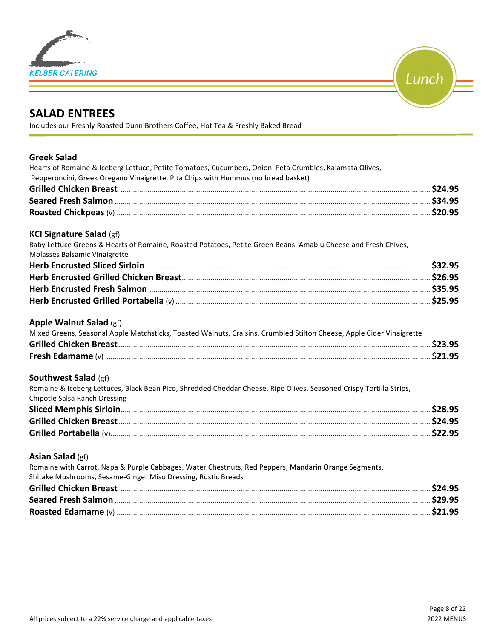



## **SALAD ENTREES**

Includes our Freshly Roasted Dunn Brothers Coffee, Hot Tea & Freshly Baked Bread

| <b>Greek Salad</b><br>Hearts of Romaine & Iceberg Lettuce, Petite Tomatoes, Cucumbers, Onion, Feta Crumbles, Kalamata Olives,                        |  |
|------------------------------------------------------------------------------------------------------------------------------------------------------|--|
| Pepperoncini, Greek Oregano Vinaigrette, Pita Chips with Hummus (no bread basket)                                                                    |  |
|                                                                                                                                                      |  |
|                                                                                                                                                      |  |
|                                                                                                                                                      |  |
| <b>KCI Signature Salad (gf)</b>                                                                                                                      |  |
| Baby Lettuce Greens & Hearts of Romaine, Roasted Potatoes, Petite Green Beans, Amablu Cheese and Fresh Chives,<br>Molasses Balsamic Vinaigrette      |  |
|                                                                                                                                                      |  |
|                                                                                                                                                      |  |
|                                                                                                                                                      |  |
|                                                                                                                                                      |  |
| Apple Walnut Salad (gf)                                                                                                                              |  |
| Mixed Greens, Seasonal Apple Matchsticks, Toasted Walnuts, Craisins, Crumbled Stilton Cheese, Apple Cider Vinaigrette                                |  |
|                                                                                                                                                      |  |
|                                                                                                                                                      |  |
| <b>Southwest Salad (gf)</b>                                                                                                                          |  |
| Romaine & Iceberg Lettuces, Black Bean Pico, Shredded Cheddar Cheese, Ripe Olives, Seasoned Crispy Tortilla Strips,<br>Chipotle Salsa Ranch Dressing |  |
|                                                                                                                                                      |  |
|                                                                                                                                                      |  |
|                                                                                                                                                      |  |
|                                                                                                                                                      |  |
| Asian Salad (gf)                                                                                                                                     |  |
| Romaine with Carrot, Napa & Purple Cabbages, Water Chestnuts, Red Peppers, Mandarin Orange Segments,                                                 |  |
| Shitake Mushrooms, Sesame-Ginger Miso Dressing, Rustic Breads                                                                                        |  |
|                                                                                                                                                      |  |
|                                                                                                                                                      |  |
|                                                                                                                                                      |  |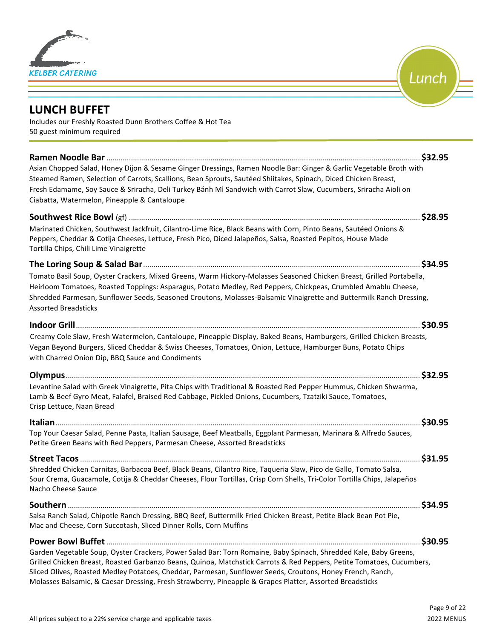



## **LUNCH BUFFET**

Includes our Freshly Roasted Dunn Brothers Coffee & Hot Tea 50 guest minimum required

| Asian Chopped Salad, Honey Dijon & Sesame Ginger Dressings, Ramen Noodle Bar: Ginger & Garlic Vegetable Broth with<br>Steamed Ramen, Selection of Carrots, Scallions, Bean Sprouts, Sautéed Shiitakes, Spinach, Diced Chicken Breast,<br>Fresh Edamame, Soy Sauce & Sriracha, Deli Turkey Bánh Mì Sandwich with Carrot Slaw, Cucumbers, Sriracha Aioli on<br>Ciabatta, Watermelon, Pineapple & Cantaloupe                                                           |         |
|---------------------------------------------------------------------------------------------------------------------------------------------------------------------------------------------------------------------------------------------------------------------------------------------------------------------------------------------------------------------------------------------------------------------------------------------------------------------|---------|
|                                                                                                                                                                                                                                                                                                                                                                                                                                                                     |         |
| Marinated Chicken, Southwest Jackfruit, Cilantro-Lime Rice, Black Beans with Corn, Pinto Beans, Sautéed Onions &<br>Peppers, Cheddar & Cotija Cheeses, Lettuce, Fresh Pico, Diced Jalapeños, Salsa, Roasted Pepitos, House Made<br>Tortilla Chips, Chili Lime Vinaigrette                                                                                                                                                                                           | \$28.95 |
|                                                                                                                                                                                                                                                                                                                                                                                                                                                                     |         |
| Tomato Basil Soup, Oyster Crackers, Mixed Greens, Warm Hickory-Molasses Seasoned Chicken Breast, Grilled Portabella,<br>Heirloom Tomatoes, Roasted Toppings: Asparagus, Potato Medley, Red Peppers, Chickpeas, Crumbled Amablu Cheese,<br>Shredded Parmesan, Sunflower Seeds, Seasoned Croutons, Molasses-Balsamic Vinaigrette and Buttermilk Ranch Dressing,<br><b>Assorted Breadsticks</b>                                                                        |         |
|                                                                                                                                                                                                                                                                                                                                                                                                                                                                     | \$30.95 |
| Creamy Cole Slaw, Fresh Watermelon, Cantaloupe, Pineapple Display, Baked Beans, Hamburgers, Grilled Chicken Breasts,<br>Vegan Beyond Burgers, Sliced Cheddar & Swiss Cheeses, Tomatoes, Onion, Lettuce, Hamburger Buns, Potato Chips<br>with Charred Onion Dip, BBQ Sauce and Condiments                                                                                                                                                                            |         |
|                                                                                                                                                                                                                                                                                                                                                                                                                                                                     |         |
| Levantine Salad with Greek Vinaigrette, Pita Chips with Traditional & Roasted Red Pepper Hummus, Chicken Shwarma,<br>Lamb & Beef Gyro Meat, Falafel, Braised Red Cabbage, Pickled Onions, Cucumbers, Tzatziki Sauce, Tomatoes,<br>Crisp Lettuce, Naan Bread                                                                                                                                                                                                         |         |
|                                                                                                                                                                                                                                                                                                                                                                                                                                                                     |         |
| Top Your Caesar Salad, Penne Pasta, Italian Sausage, Beef Meatballs, Eggplant Parmesan, Marinara & Alfredo Sauces,<br>Petite Green Beans with Red Peppers, Parmesan Cheese, Assorted Breadsticks                                                                                                                                                                                                                                                                    |         |
|                                                                                                                                                                                                                                                                                                                                                                                                                                                                     |         |
| Shredded Chicken Carnitas, Barbacoa Beef, Black Beans, Cilantro Rice, Taqueria Slaw, Pico de Gallo, Tomato Salsa,<br>Sour Crema, Guacamole, Cotija & Cheddar Cheeses, Flour Tortillas, Crisp Corn Shells, Tri-Color Tortilla Chips, Jalapeños<br>Nacho Cheese Sauce                                                                                                                                                                                                 |         |
|                                                                                                                                                                                                                                                                                                                                                                                                                                                                     | \$34.95 |
| Salsa Ranch Salad, Chipotle Ranch Dressing, BBQ Beef, Buttermilk Fried Chicken Breast, Petite Black Bean Pot Pie,<br>Mac and Cheese, Corn Succotash, Sliced Dinner Rolls, Corn Muffins                                                                                                                                                                                                                                                                              |         |
|                                                                                                                                                                                                                                                                                                                                                                                                                                                                     | \$30.95 |
| Garden Vegetable Soup, Oyster Crackers, Power Salad Bar: Torn Romaine, Baby Spinach, Shredded Kale, Baby Greens,<br>Grilled Chicken Breast, Roasted Garbanzo Beans, Quinoa, Matchstick Carrots & Red Peppers, Petite Tomatoes, Cucumbers,<br>Sliced Olives, Roasted Medley Potatoes, Cheddar, Parmesan, Sunflower Seeds, Croutons, Honey French, Ranch,<br>Molasses Balsamic, & Caesar Dressing, Fresh Strawberry, Pineapple & Grapes Platter, Assorted Breadsticks |         |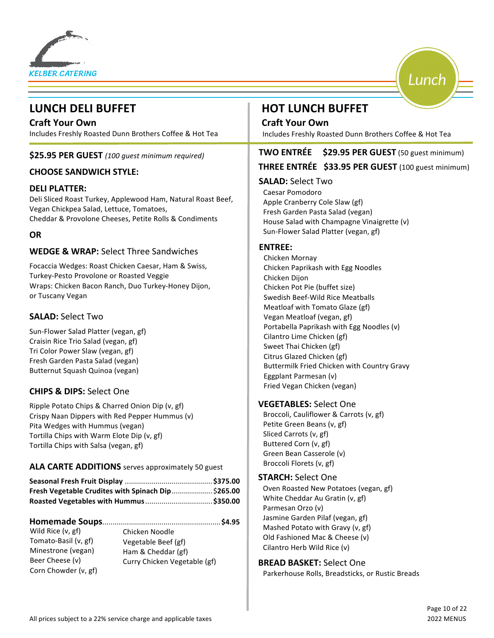

## **LUNCH DELI BUFFET AND RESOLUTION HOT LUNCH BUFFET**

**Craft Your Own Craft Your Own** Includes Freshly Roasted Dunn Brothers Coffee & Hot Tea

#### **\$25.95 PER GUEST** (100 quest minimum required)

#### **CHOOSE SANDWICH STYLE:**

#### **DELI PLATTER:**

Deli Sliced Roast Turkey, Applewood Ham, Natural Roast Beef, Vegan Chickpea Salad, Lettuce, Tomatoes, Cheddar & Provolone Cheeses, Petite Rolls & Condiments

#### **OR**

#### **WEDGE & WRAP:** Select Three Sandwiches

Focaccia Wedges: Roast Chicken Caesar, Ham & Swiss, Turkey-Pesto Provolone or Roasted Veggie Wraps: Chicken Bacon Ranch, Duo Turkey-Honey Dijon, or Tuscany Vegan

#### **SALAD: Select Two**

Sun-Flower Salad Platter (vegan, gf) Craisin Rice Trio Salad (vegan, gf) Tri Color Power Slaw (vegan, gf) Fresh Garden Pasta Salad (vegan) Butternut Squash Quinoa (vegan)

#### **CHIPS & DIPS:** Select One

Ripple Potato Chips & Charred Onion Dip (v, gf) Crispy Naan Dippers with Red Pepper Hummus (v) Pita Wedges with Hummus (vegan) Tortilla Chips with Warm Elote Dip (v, gf) Tortilla Chips with Salsa (vegan, gf)

#### **ALA CARTE ADDITIONS** serves approximately 50 guest

| Fresh Vegetable Crudites with Spinach Dip \$265.00 |  |
|----------------------------------------------------|--|
|                                                    |  |

#### **Homemade Soups**..........................................................**\$4.95**

Wild Rice (v, gf) Tomato-Basil (v, gf) Minestrone (vegan) Beer Cheese (v) Corn Chowder (v, gf) Chicken Noodle Vegetable Beef (gf) Ham & Cheddar (gf) Curry Chicken Vegetable (gf)

Includes Freshly Roasted Dunn Brothers Coffee & Hot Tea

### **TWO ENTRÉE** \$29.95 PER GUEST (50 guest minimum)

Lunch

#### THREE ENTRÉE \$33.95 PER GUEST (100 guest minimum)

#### **SALAD:** Select Two

Caesar Pomodoro Apple Cranberry Cole Slaw (gf) Fresh Garden Pasta Salad (vegan) House Salad with Champagne Vinaigrette (v) Sun-Flower Salad Platter (vegan, gf)

#### **ENTREE:**

Chicken Mornay Chicken Paprikash with Egg Noodles Chicken Dijon Chicken Pot Pie (buffet size) Swedish Beef-Wild Rice Meatballs Meatloaf with Tomato Glaze (gf) Vegan Meatloaf (vegan, gf) Portabella Paprikash with Egg Noodles (v) Cilantro Lime Chicken (gf) Sweet Thai Chicken (gf) Citrus Glazed Chicken (gf) Buttermilk Fried Chicken with Country Gravy Eggplant Parmesan (v) Fried Vegan Chicken (vegan)

#### **VEGETABLES:** Select One

Broccoli, Cauliflower & Carrots (v, gf) Petite Green Beans (v, gf) Sliced Carrots (v, gf) Buttered Corn (v, gf) Green Bean Casserole (v) Broccoli Florets (v, gf)

#### **STARCH:** Select One

Oven Roasted New Potatoes (vegan, gf) White Cheddar Au Gratin (v, gf) Parmesan Orzo (v) Jasmine Garden Pilaf (vegan, gf) Mashed Potato with Gravy (v, gf) Old Fashioned Mac & Cheese (v) Cilantro Herb Wild Rice (v)

#### **BREAD BASKET:** Select One

Parkerhouse Rolls, Breadsticks, or Rustic Breads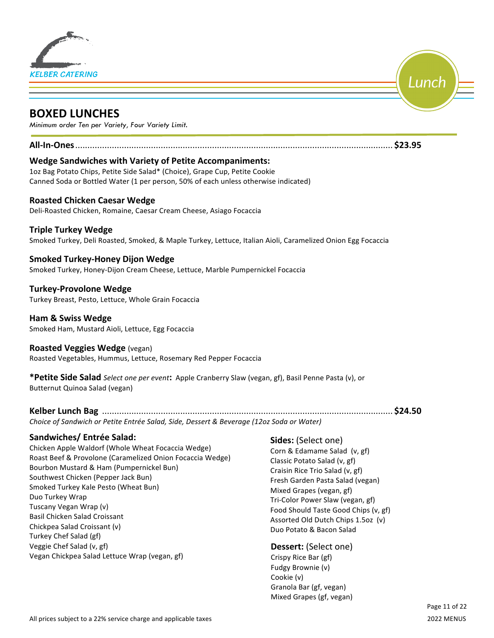

## **BOXED LUNCHES**

*Minimum order Ten per Variety, Four Variety Limit.*

#### **All-In-Ones**.................................................................................................................................. **\$23.95**

#### **Wedge Sandwiches with Variety of Petite Accompaniments:**

1oz Bag Potato Chips, Petite Side Salad\* (Choice), Grape Cup, Petite Cookie Canned Soda or Bottled Water (1 per person, 50% of each unless otherwise indicated)

#### **Roasted Chicken Caesar Wedge**

Deli-Roasted Chicken, Romaine, Caesar Cream Cheese, Asiago Focaccia

#### **Triple Turkey Wedge**

Smoked Turkey, Deli Roasted, Smoked, & Maple Turkey, Lettuce, Italian Aioli, Caramelized Onion Egg Focaccia

#### **Smoked Turkey-Honey Dijon Wedge**

Smoked Turkey, Honey-Dijon Cream Cheese, Lettuce, Marble Pumpernickel Focaccia

**Turkey-Provolone Wedge** Turkey Breast, Pesto, Lettuce, Whole Grain Focaccia

**Ham & Swiss Wedge** Smoked Ham, Mustard Aioli, Lettuce, Egg Focaccia

#### **Roasted Veggies Wedge** (vegan)

Roasted Vegetables, Hummus, Lettuce, Rosemary Red Pepper Focaccia

**\*Petite Side Salad** *Select one per event***:** Apple Cranberry Slaw (vegan, gf), Basil Penne Pasta (v), or Butternut Quinoa Salad (vegan)

#### **Kelber Lunch Bag**  ....................................................................................................................... **\$24.50**

*Choice of Sandwich or Petite Entrée Salad, Side, Dessert & Beverage (12oz Soda or Water)* 

#### **Sandwiches/ Entrée Salad:**

Chicken Apple Waldorf (Whole Wheat Focaccia Wedge) Roast Beef & Provolone (Caramelized Onion Focaccia Wedge) Bourbon Mustard & Ham (Pumpernickel Bun) Southwest Chicken (Pepper Jack Bun) Smoked Turkey Kale Pesto (Wheat Bun) Duo Turkey Wrap Tuscany Vegan Wrap (v) Basil Chicken Salad Croissant Chickpea Salad Croissant (v) Turkey Chef Salad (gf) Veggie Chef Salad (v, gf) Vegan Chickpea Salad Lettuce Wrap (vegan, gf)

#### **Sides:** (Select one)

Corn & Edamame Salad (v, gf) Classic Potato Salad (v, gf) Craisin Rice Trio Salad (v, gf) Fresh Garden Pasta Salad (vegan) Mixed Grapes (vegan, gf) Tri-Color Power Slaw (vegan, gf) Food Should Taste Good Chips (v, gf) Assorted Old Dutch Chips 1.5oz (v) Duo Potato & Bacon Salad 

#### **Dessert:** (Select one)

Crispy Rice Bar (gf) Fudgy Brownie (v) Cookie (v) Granola Bar (gf, vegan) Mixed Grapes (gf, vegan) Lunch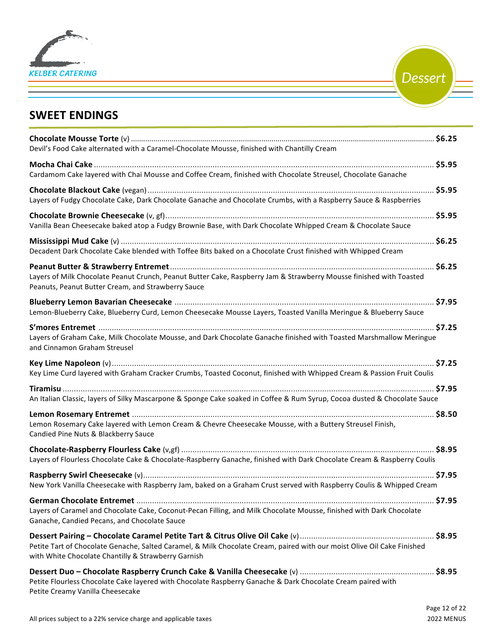

**Dessert** 

## **SWEET ENDINGS**

| Devil's Food Cake alternated with a Caramel-Chocolate Mousse, finished with Chantilly Cream                                                                                    |  |
|--------------------------------------------------------------------------------------------------------------------------------------------------------------------------------|--|
| Cardamom Cake layered with Chai Mousse and Coffee Cream, finished with Chocolate Streusel, Chocolate Ganache                                                                   |  |
| Layers of Fudgy Chocolate Cake, Dark Chocolate Ganache and Chocolate Crumbs, with a Raspberry Sauce & Raspberries                                                              |  |
| Vanilla Bean Cheesecake baked atop a Fudgy Brownie Base, with Dark Chocolate Whipped Cream & Chocolate Sauce                                                                   |  |
| Decadent Dark Chocolate Cake blended with Toffee Bits baked on a Chocolate Crust finished with Whipped Cream                                                                   |  |
| Layers of Milk Chocolate Peanut Crunch, Peanut Butter Cake, Raspberry Jam & Strawberry Mousse finished with Toasted<br>Peanuts, Peanut Butter Cream, and Strawberry Sauce      |  |
| Lemon-Blueberry Cake, Blueberry Curd, Lemon Cheesecake Mousse Layers, Toasted Vanilla Meringue & Blueberry Sauce                                                               |  |
| Layers of Graham Cake, Milk Chocolate Mousse, and Dark Chocolate Ganache finished with Toasted Marshmallow Meringue<br>and Cinnamon Graham Streusel                            |  |
| Key Lime Curd layered with Graham Cracker Crumbs, Toasted Coconut, finished with Whipped Cream & Passion Fruit Coulis                                                          |  |
| An Italian Classic, layers of Silky Mascarpone & Sponge Cake soaked in Coffee & Rum Syrup, Cocoa dusted & Chocolate Sauce                                                      |  |
| Lemon Rosemary Cake layered with Lemon Cream & Chevre Cheesecake Mousse, with a Buttery Streusel Finish,<br>Candied Pine Nuts & Blackberry Sauce                               |  |
| Layers of Flourless Chocolate Cake & Chocolate-Raspberry Ganache, finished with Dark Chocolate Cream & Raspberry Coulis                                                        |  |
| New York Vanilla Cheesecake with Raspberry Jam, baked on a Graham Crust served with Raspberry Coulis & Whipped Cream                                                           |  |
| Layers of Caramel and Chocolate Cake, Coconut-Pecan Filling, and Milk Chocolate Mousse, finished with Dark Chocolate<br>Ganache, Candied Pecans, and Chocolate Sauce           |  |
| Petite Tart of Chocolate Genache, Salted Caramel, & Milk Chocolate Cream, paired with our moist Olive Oil Cake Finished<br>with White Chocolate Chantilly & Strawberry Garnish |  |
| Petite Flourless Chocolate Cake layered with Chocolate Raspberry Ganache & Dark Chocolate Cream paired with<br>Petite Creamy Vanilla Cheesecake                                |  |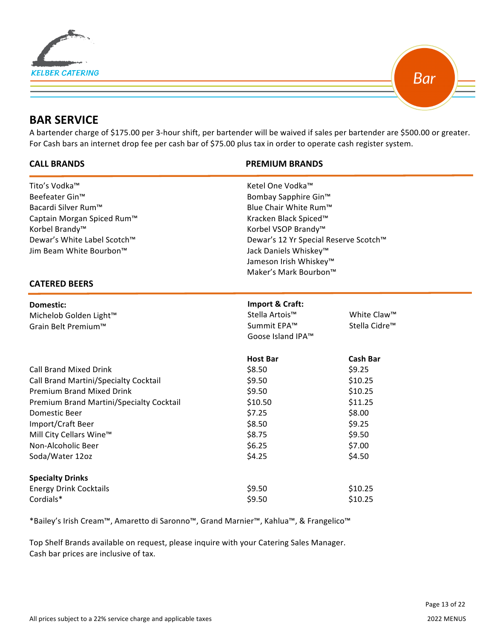



## **BAR SERVICE**

**<u>** $\overline{a}$ **</u>** 

A bartender charge of \$175.00 per 3-hour shift, per bartender will be waived if sales per bartender are \$500.00 or greater. For Cash bars an internet drop fee per cash bar of \$75.00 plus tax in order to operate cash register system.

#### **CALL BRANDS PREMIUM BRANDS**

| Tito's Vodka™                            | Ketel One Vodka™                                                           |                           |  |  |
|------------------------------------------|----------------------------------------------------------------------------|---------------------------|--|--|
| Beefeater Gin™                           | Bombay Sapphire Gin™<br>Blue Chair White Rum™<br>Kracken Black Spiced™     |                           |  |  |
| Bacardi Silver Rum™                      |                                                                            |                           |  |  |
| Captain Morgan Spiced Rum™               |                                                                            |                           |  |  |
| Korbel Brandy <sup>™</sup>               | Korbel VSOP Brandy™                                                        |                           |  |  |
| Dewar's White Label Scotch™              | Dewar's 12 Yr Special Reserve Scotch™<br>Jack Daniels Whiskey <sup>™</sup> |                           |  |  |
| Jim Beam White Bourbon™                  |                                                                            |                           |  |  |
|                                          | Jameson Irish Whiskey™                                                     |                           |  |  |
|                                          | Maker's Mark Bourbon™                                                      |                           |  |  |
| <b>CATERED BEERS</b>                     |                                                                            |                           |  |  |
| <b>Domestic:</b>                         | Import & Craft:                                                            |                           |  |  |
| Michelob Golden Light™                   | Stella Artois™                                                             | White Claw™               |  |  |
| Grain Belt Premium™                      | Summit EPA™                                                                | Stella Cidre <sup>™</sup> |  |  |
|                                          | Goose Island IPA™                                                          |                           |  |  |
|                                          | <b>Host Bar</b>                                                            | <b>Cash Bar</b>           |  |  |
| <b>Call Brand Mixed Drink</b>            | \$8.50                                                                     | \$9.25                    |  |  |
| Call Brand Martini/Specialty Cocktail    | \$9.50                                                                     | \$10.25                   |  |  |
| <b>Premium Brand Mixed Drink</b>         | \$9.50                                                                     | \$10.25                   |  |  |
| Premium Brand Martini/Specialty Cocktail | \$10.50                                                                    | \$11.25                   |  |  |
| Domestic Beer                            | \$7.25                                                                     | \$8.00                    |  |  |
| Import/Craft Beer                        | \$8.50                                                                     | \$9.25                    |  |  |
| Mill City Cellars Wine™                  | \$8.75                                                                     | \$9.50                    |  |  |
| Non-Alcoholic Beer                       | \$6.25                                                                     | \$7.00                    |  |  |
| Soda/Water 12oz                          | \$4.25                                                                     | \$4.50                    |  |  |
| <b>Specialty Drinks</b>                  |                                                                            |                           |  |  |
| <b>Energy Drink Cocktails</b>            | \$9.50                                                                     | \$10.25                   |  |  |
| Cordials*                                | \$9.50                                                                     | \$10.25                   |  |  |
|                                          |                                                                            |                           |  |  |

\*Bailey's Irish Cream™, Amaretto di Saronno™, Grand Marnier™, Kahlua™, & Frangelico™

Top Shelf Brands available on request, please inquire with your Catering Sales Manager. Cash bar prices are inclusive of tax.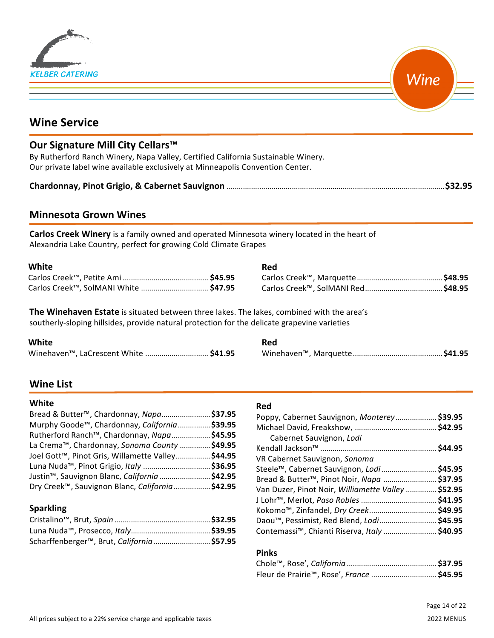| <b>KELBER CATERING</b> |
|------------------------|

Wine

## **Wine Service**

### **Our Signature Mill City Cellars™**

By Rutherford Ranch Winery, Napa Valley, Certified California Sustainable Winery. Our private label wine available exclusively at Minneapolis Convention Center.

|--|--|--|--|

### **Minnesota Grown Wines**

Carlos Creek Winery is a family owned and operated Minnesota winery located in the heart of Alexandria Lake Country, perfect for growing Cold Climate Grapes

| White                                 | Red |
|---------------------------------------|-----|
|                                       |     |
| Carlos Creek™, SolMANI White  \$47.95 |     |

**The Winehaven Estate** is situated between three lakes. The lakes, combined with the area's southerly-sloping hillsides, provide natural protection for the delicate grapevine varieties

| <b>White</b>                                       | Red |
|----------------------------------------------------|-----|
| Winehaven <sup>™</sup> , LaCrescent White  \$41.95 |     |

#### **Wine List**

#### **White**

| Bread & Butter™, Chardonnay, Napa\$37.95                   |  |
|------------------------------------------------------------|--|
| Murphy Goode™, Chardonnay, California\$39.95               |  |
| Rutherford Ranch™, Chardonnay, Napa\$45.95                 |  |
| La Crema™, Chardonnay, Sonoma County \$49.95               |  |
| Joel Gott™, Pinot Gris, Willamette Valley\$44.95           |  |
| Luna Nuda™, Pinot Grigio, Italy \$36.95                    |  |
| Justin <sup>™</sup> , Sauvignon Blanc, California  \$42.95 |  |
| Dry Creek™, Sauvignon Blanc, California \$42.95            |  |

#### **Sparkling**

| Scharffenberger™, Brut, California \$57.95 |  |
|--------------------------------------------|--|

#### **Red**

| Poppy, Cabernet Sauvignon, Monterey \$39.95        |  |
|----------------------------------------------------|--|
|                                                    |  |
| Cabernet Sauvignon, Lodi                           |  |
|                                                    |  |
| VR Cabernet Sauvignon, Sonoma                      |  |
| Steele™, Cabernet Sauvignon, Lodi  \$45.95         |  |
| Bread & Butter™, Pinot Noir, Napa  \$37.95         |  |
| Van Duzer, Pinot Noir, Williamette Valley  \$52.95 |  |
|                                                    |  |
|                                                    |  |
| Daou™, Pessimist, Red Blend, Lodi \$45.95          |  |
| Contemassi™, Chianti Riserva, Italy  \$40.95       |  |

#### **Pinks**

| Fleur de Prairie™, Rose', France  \$45.95 |  |
|-------------------------------------------|--|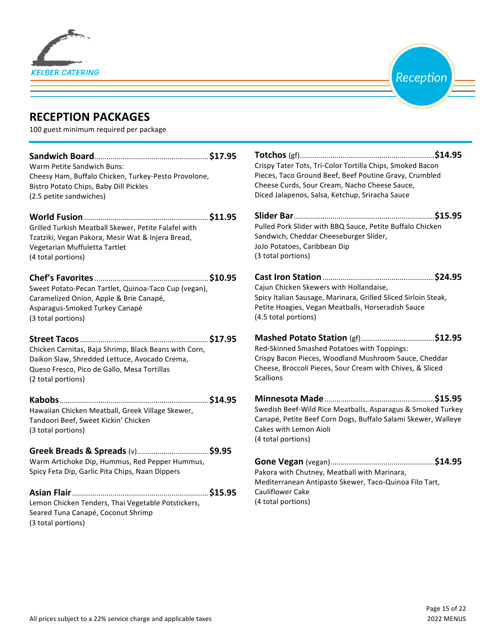



## **RECEPTION PACKAGES**

100 guest minimum required per package

| Warm Petite Sandwich Buns:                            |  | Crispy Tater Tots, Tri-Color Tortilla Chips, Smoked Bacon                                        |  |
|-------------------------------------------------------|--|--------------------------------------------------------------------------------------------------|--|
| Cheesy Ham, Buffalo Chicken, Turkey-Pesto Provolone,  |  | Pieces, Taco Ground Beef, Beef Poutine Gravy, Crumbled                                           |  |
| Bistro Potato Chips, Baby Dill Pickles                |  | Cheese Curds, Sour Cream, Nacho Cheese Sauce,<br>Diced Jalapenos, Salsa, Ketchup, Sriracha Sauce |  |
| (2.5 petite sandwiches)                               |  |                                                                                                  |  |
|                                                       |  |                                                                                                  |  |
| Grilled Turkish Meatball Skewer, Petite Falafel with  |  | Pulled Pork Slider with BBQ Sauce, Petite Buffalo Chicken                                        |  |
| Tzatziki, Vegan Pakora, Mesir Wat & Injera Bread,     |  | Sandwich, Cheddar Cheeseburger Slider,                                                           |  |
| Vegetarian Muffuletta Tartlet                         |  | JoJo Potatoes, Caribbean Dip                                                                     |  |
| (4 total portions)                                    |  | (3 total portions)                                                                               |  |
|                                                       |  |                                                                                                  |  |
| Sweet Potato-Pecan Tartlet, Quinoa-Taco Cup (vegan),  |  | Cajun Chicken Skewers with Hollandaise,                                                          |  |
| Caramelized Onion, Apple & Brie Canapé,               |  | Spicy Italian Sausage, Marinara, Grilled Sliced Sirloin Steak,                                   |  |
| Asparagus-Smoked Turkey Canapé                        |  | Petite Hoagies, Vegan Meatballs, Horseradish Sauce                                               |  |
| (3 total portions)                                    |  | (4.5 total portions)                                                                             |  |
|                                                       |  |                                                                                                  |  |
| Chicken Carnitas, Baja Shrimp, Black Beans with Corn, |  | Red-Skinned Smashed Potatoes with Toppings:                                                      |  |
| Daikon Slaw, Shredded Lettuce, Avocado Crema,         |  | Crispy Bacon Pieces, Woodland Mushroom Sauce, Cheddar                                            |  |
| Queso Fresco, Pico de Gallo, Mesa Tortillas           |  | Cheese, Broccoli Pieces, Sour Cream with Chives, & Sliced                                        |  |
| (2 total portions)                                    |  | <b>Scallions</b>                                                                                 |  |
|                                                       |  |                                                                                                  |  |
| Hawaiian Chicken Meatball, Greek Village Skewer,      |  | Swedish Beef-Wild Rice Meatballs, Asparagus & Smoked Turkey                                      |  |
| Tandoori Beef, Sweet Kickin' Chicken                  |  | Canapé, Petite Beef Corn Dogs, Buffalo Salami Skewer, Walleye                                    |  |
| (3 total portions)                                    |  | Cakes with Lemon Aioli                                                                           |  |
|                                                       |  | (4 total portions)                                                                               |  |
|                                                       |  |                                                                                                  |  |
| Warm Artichoke Dip, Hummus, Red Pepper Hummus,        |  |                                                                                                  |  |
| Spicy Feta Dip, Garlic Pita Chips, Naan Dippers       |  | Pakora with Chutney, Meatball with Marinara,                                                     |  |
|                                                       |  | Mediterranean Antipasto Skewer, Taco-Quinoa Filo Tart,                                           |  |
|                                                       |  | <b>Cauliflower Cake</b>                                                                          |  |
| Lemon Chicken Tenders, Thai Vegetable Potstickers,    |  | (4 total portions)                                                                               |  |
| Seared Tuna Canapé, Coconut Shrimp                    |  |                                                                                                  |  |

(3 total portions)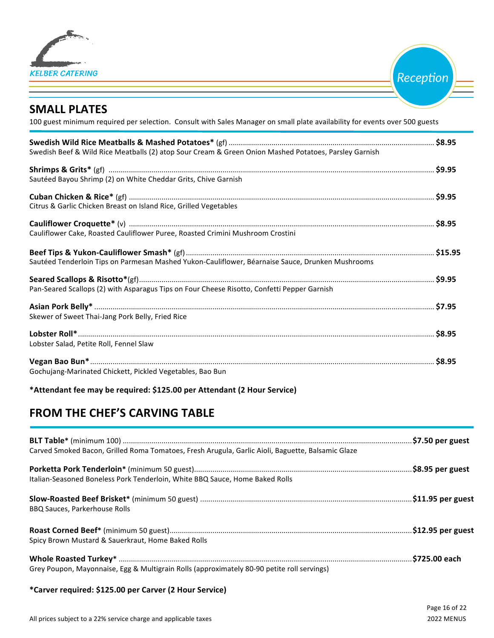

Reception

## **SMALL PLATES**

100 guest minimum required per selection. Consult with Sales Manager on small plate availability for events over 500 guests

| Swedish Beef & Wild Rice Meatballs (2) atop Sour Cream & Green Onion Mashed Potatoes, Parsley Garnish |  |
|-------------------------------------------------------------------------------------------------------|--|
|                                                                                                       |  |
| Sautéed Bayou Shrimp (2) on White Cheddar Grits, Chive Garnish                                        |  |
|                                                                                                       |  |
| Citrus & Garlic Chicken Breast on Island Rice, Grilled Vegetables                                     |  |
|                                                                                                       |  |
| Cauliflower Cake, Roasted Cauliflower Puree, Roasted Crimini Mushroom Crostini                        |  |
| Sautéed Tenderloin Tips on Parmesan Mashed Yukon-Cauliflower, Béarnaise Sauce, Drunken Mushrooms      |  |
|                                                                                                       |  |
| Pan-Seared Scallops (2) with Asparagus Tips on Four Cheese Risotto, Confetti Pepper Garnish           |  |
|                                                                                                       |  |
| Skewer of Sweet Thai-Jang Pork Belly, Fried Rice                                                      |  |
| Lobster Salad, Petite Roll, Fennel Slaw                                                               |  |
|                                                                                                       |  |
| Gochujang-Marinated Chickett, Pickled Vegetables, Bao Bun                                             |  |

**\*Attendant fee may be required: \$125.00 per Attendant (2 Hour Service)**

## **FROM THE CHEF'S CARVING TABLE**

| Carved Smoked Bacon, Grilled Roma Tomatoes, Fresh Arugula, Garlic Aioli, Baguette, Balsamic Glaze |  |
|---------------------------------------------------------------------------------------------------|--|
| Italian-Seasoned Boneless Pork Tenderloin, White BBQ Sauce, Home Baked Rolls                      |  |
| <b>BBQ Sauces, Parkerhouse Rolls</b>                                                              |  |
| Spicy Brown Mustard & Sauerkraut, Home Baked Rolls                                                |  |
| Grey Poupon, Mayonnaise, Egg & Multigrain Rolls (approximately 80-90 petite roll servings)        |  |

#### **\*Carver required: \$125.00 per Carver (2 Hour Service)**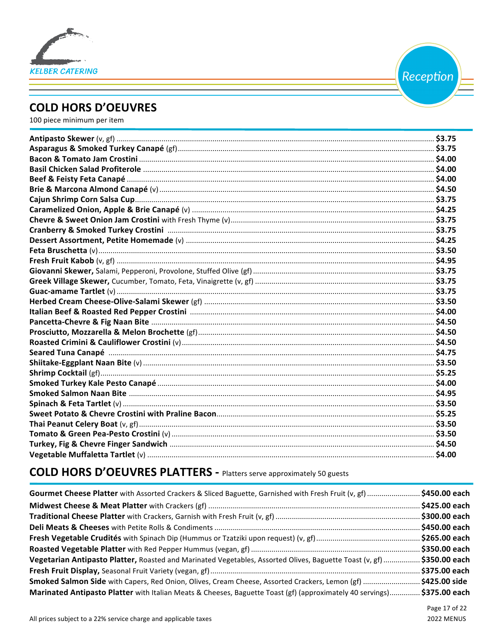

Reception

## **COLD HORS D'OEUVRES**

100 piece minimum per item

## **COLD HORS D'OEUVRES PLATTERS - Platters serve approximately 50 guests**

| Gourmet Cheese Platter with Assorted Crackers & Sliced Baguette, Garnished with Fresh Fruit (v, gf) \$450.00 each       |  |
|-------------------------------------------------------------------------------------------------------------------------|--|
|                                                                                                                         |  |
|                                                                                                                         |  |
|                                                                                                                         |  |
|                                                                                                                         |  |
|                                                                                                                         |  |
| Vegetarian Antipasto Platter, Roasted and Marinated Vegetables, Assorted Olives, Baguette Toast (v, gf)  \$350.00 each  |  |
|                                                                                                                         |  |
| Smoked Salmon Side with Capers, Red Onion, Olives, Cream Cheese, Assorted Crackers, Lemon (gf) \$425.00 side            |  |
| Marinated Antipasto Platter with Italian Meats & Cheeses, Baguette Toast (gf) (approximately 40 servings) \$375.00 each |  |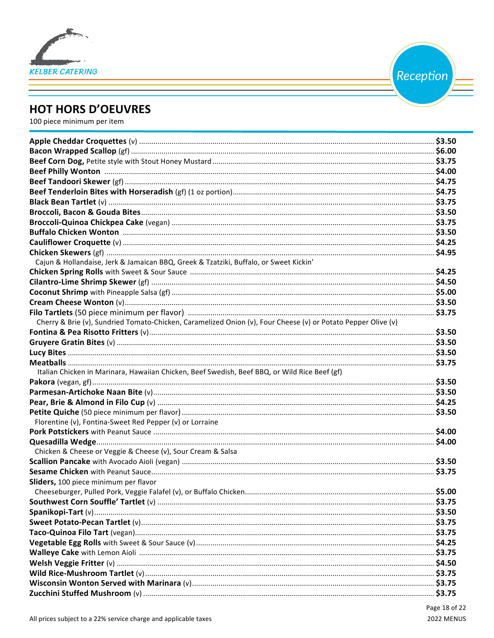

Reception

## **HOT HORS D'OEUVRES**

100 piece minimum per item

| Cajun & Hollandaise, Jerk & Jamaican BBQ, Greek & Tzatziki, Buffalo, or Sweet Kickin'                         |  |
|---------------------------------------------------------------------------------------------------------------|--|
|                                                                                                               |  |
|                                                                                                               |  |
|                                                                                                               |  |
|                                                                                                               |  |
|                                                                                                               |  |
| Cherry & Brie (v), Sundried Tomato-Chicken, Caramelized Onion (v), Four Cheese (v) or Potato Pepper Olive (v) |  |
|                                                                                                               |  |
|                                                                                                               |  |
|                                                                                                               |  |
|                                                                                                               |  |
| Italian Chicken in Marinara, Hawaiian Chicken, Beef Swedish, Beef BBQ, or Wild Rice Beef (gf)                 |  |
|                                                                                                               |  |
|                                                                                                               |  |
|                                                                                                               |  |
|                                                                                                               |  |
| Florentine (v), Fontina-Sweet Red Pepper (v) or Lorraine                                                      |  |
|                                                                                                               |  |
|                                                                                                               |  |
| Chicken & Cheese or Veggie & Cheese (v), Sour Cream & Salsa                                                   |  |
|                                                                                                               |  |
|                                                                                                               |  |
| Sliders, 100 piece minimum per flavor                                                                         |  |
|                                                                                                               |  |
|                                                                                                               |  |
|                                                                                                               |  |
|                                                                                                               |  |
|                                                                                                               |  |
|                                                                                                               |  |
|                                                                                                               |  |
|                                                                                                               |  |
|                                                                                                               |  |
|                                                                                                               |  |
|                                                                                                               |  |
|                                                                                                               |  |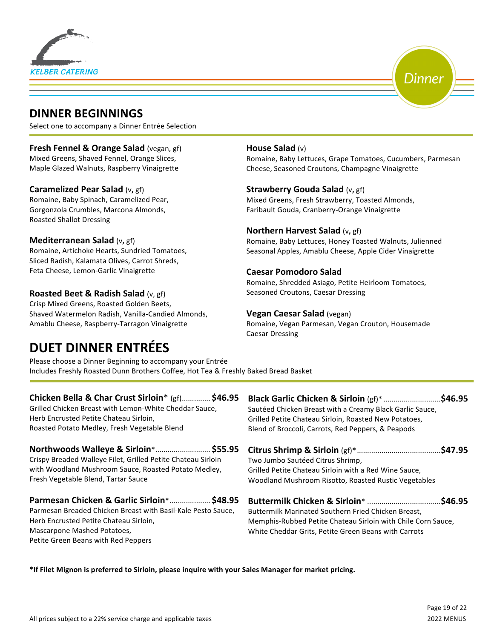



## **DINNER BEGINNINGS**

Select one to accompany a Dinner Entrée Selection

#### **Fresh Fennel & Orange Salad** (vegan, gf)

Mixed Greens, Shaved Fennel, Orange Slices, Maple Glazed Walnuts, Raspberry Vinaigrette

#### **Caramelized Pear Salad** (v, gf)

Romaine, Baby Spinach, Caramelized Pear, Gorgonzola Crumbles, Marcona Almonds, Roasted Shallot Dressing

#### **Mediterranean Salad** (v, gf)

Romaine, Artichoke Hearts, Sundried Tomatoes, Sliced Radish, Kalamata Olives, Carrot Shreds, Feta Cheese, Lemon-Garlic Vinaigrette

#### **Roasted Beet & Radish Salad** (v, gf)

Crisp Mixed Greens, Roasted Golden Beets, Shaved Watermelon Radish, Vanilla-Candied Almonds, Amablu Cheese, Raspberry-Tarragon Vinaigrette

## **DUET DINNER ENTRÉES**

#### **House Salad** (v)

Romaine, Baby Lettuces, Grape Tomatoes, Cucumbers, Parmesan Cheese, Seasoned Croutons, Champagne Vinaigrette

#### **Strawberry Gouda Salad** (v, gf)

Mixed Greens, Fresh Strawberry, Toasted Almonds, Faribault Gouda, Cranberry-Orange Vinaigrette

#### **Northern Harvest Salad** (v, gf)

Romaine, Baby Lettuces, Honey Toasted Walnuts, Julienned Seasonal Apples, Amablu Cheese, Apple Cider Vinaigrette

#### **Caesar Pomodoro Salad**

Romaine, Shredded Asiago, Petite Heirloom Tomatoes, Seasoned Croutons, Caesar Dressing

#### **Vegan Caesar Salad** (vegan)

Romaine, Vegan Parmesan, Vegan Crouton, Housemade Caesar Dressing

Please choose a Dinner Beginning to accompany your Entrée Includes Freshly Roasted Dunn Brothers Coffee, Hot Tea & Freshly Baked Bread Basket

#### **Chicken Bella & Char Crust Sirloin**\* (gf).............. \$46.95 Grilled Chicken Breast with Lemon-White Cheddar Sauce, Herb Encrusted Petite Chateau Sirloin, Roasted Potato Medley, Fresh Vegetable Blend

Northwoods Walleye & Sirloin\*............................ \$55.95

Crispy Breaded Walleye Filet, Grilled Petite Chateau Sirloin with Woodland Mushroom Sauce, Roasted Potato Medley, Fresh Vegetable Blend, Tartar Sauce

#### **Parmesan Chicken & Garlic Sirloin**\*................... \$48.95

Parmesan Breaded Chicken Breast with Basil-Kale Pesto Sauce, Herb Encrusted Petite Chateau Sirloin. Mascarpone Mashed Potatoes, Petite Green Beans with Red Peppers

| Black Garlic Chicken & Sirloin (gf)* \$46.95             |  |
|----------------------------------------------------------|--|
| Sautéed Chicken Breast with a Creamy Black Garlic Sauce, |  |
| Grilled Petite Chateau Sirloin, Roasted New Potatoes,    |  |
| Blend of Broccoli, Carrots, Red Peppers, & Peapods       |  |
|                                                          |  |

| Two Jumbo Sautéed Citrus Shrimp,                      |  |
|-------------------------------------------------------|--|
| Grilled Petite Chateau Sirloin with a Red Wine Sauce, |  |
| Woodland Mushroom Risotto, Roasted Rustic Vegetables  |  |
|                                                       |  |

**Buttermilk Chicken & Sirloin**\* ....................................**\$46.95**  Buttermilk Marinated Southern Fried Chicken Breast, Memphis-Rubbed Petite Chateau Sirloin with Chile Corn Sauce, White Cheddar Grits, Petite Green Beans with Carrots

\*If Filet Mignon is preferred to Sirloin, please inquire with your Sales Manager for market pricing.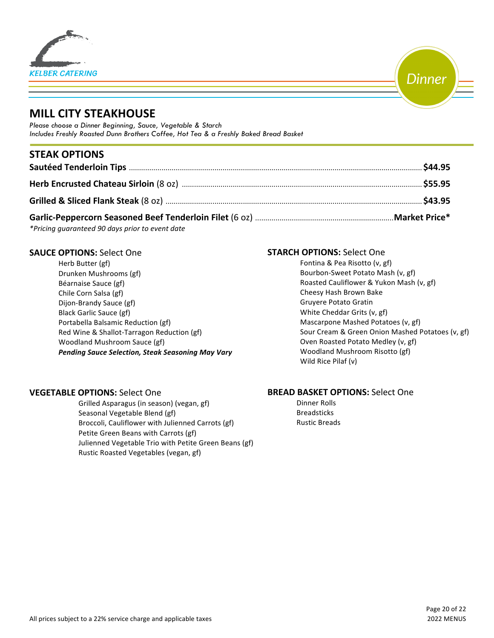



## **MILL CITY STEAKHOUSE**

*Please choose a Dinner Beginning, Sauce, Vegetable & Starch Includes Freshly Roasted Dunn Brothers Coffee, Hot Tea & a Freshly Baked Bread Basket*

## **STEAK OPTIONS**

| $\star$ . $\star$ . $\star$ . $\star$ . $\star$ . $\star$ . $\star$ . $\star$ . $\star$ . $\star$ . $\star$ . $\star$ . $\star$ . $\star$ . $\star$ . $\star$ . $\star$ . $\star$ . $\star$ . $\star$ . $\star$ . $\star$ . $\star$ . $\star$ . $\star$ . $\star$ . $\star$ . $\star$ . $\star$ . $\star$ . $\star$ . $\star$ |  |
|-------------------------------------------------------------------------------------------------------------------------------------------------------------------------------------------------------------------------------------------------------------------------------------------------------------------------------|--|

*\*Pricing guaranteed 90 days prior to event date*

#### **SAUCE OPTIONS: Select One**

Herb Butter (gf) Drunken Mushrooms (gf) Béarnaise Sauce (gf) Chile Corn Salsa (gf) Dijon-Brandy Sauce (gf) Black Garlic Sauce (gf) Portabella Balsamic Reduction (gf) Red Wine & Shallot-Tarragon Reduction (gf) Woodland Mushroom Sauce (gf) *Pending Sauce Selection, Steak Seasoning May Vary*

#### **STARCH OPTIONS: Select One**

| Fontina & Pea Risotto (v, gf)                    |
|--------------------------------------------------|
| Bourbon-Sweet Potato Mash (v, gf)                |
| Roasted Cauliflower & Yukon Mash (v, gf)         |
| Cheesy Hash Brown Bake                           |
| Gruyere Potato Gratin                            |
| White Cheddar Grits (v, gf)                      |
| Mascarpone Mashed Potatoes (v, gf)               |
| Sour Cream & Green Onion Mashed Potatoes (v, gf) |
| Oven Roasted Potato Medley (v, gf)               |
| Woodland Mushroom Risotto (gf)                   |
| Wild Rice Pilaf (v)                              |
|                                                  |

#### **VEGETABLE OPTIONS: Select One**

Grilled Asparagus (in season) (vegan, gf) Seasonal Vegetable Blend (gf) Broccoli, Cauliflower with Julienned Carrots (gf) Petite Green Beans with Carrots (gf) Julienned Vegetable Trio with Petite Green Beans (gf) Rustic Roasted Vegetables (vegan, gf)

#### **BREAD BASKET OPTIONS:** Select One

Dinner Rolls Breadsticks Rustic Breads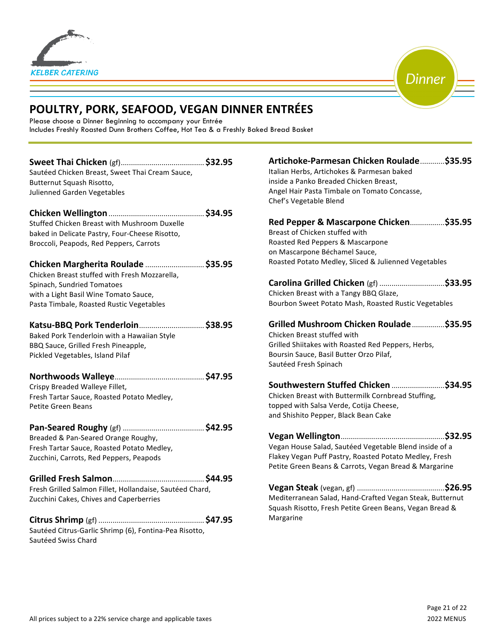



## **POULTRY, PORK, SEAFOOD, VEGAN DINNER ENTRÉES**

Please choose a Dinner Beginning to accompany your Entrée Includes Freshly Roasted Dunn Brothers Coffee, Hot Tea & a Freshly Baked Bread Basket

| Sautéed Chicken Breast, Sweet Thai Cream Sauce,<br>Butternut Squash Risotto,<br>Julienned Garden Vegetables                                                                                             |  |
|---------------------------------------------------------------------------------------------------------------------------------------------------------------------------------------------------------|--|
| Stuffed Chicken Breast with Mushroom Duxelle<br>baked in Delicate Pastry, Four-Cheese Risotto,<br>Broccoli, Peapods, Red Peppers, Carrots                                                               |  |
| Chicken Margherita Roulade  \$35.95<br>Chicken Breast stuffed with Fresh Mozzarella,<br>Spinach, Sundried Tomatoes<br>with a Light Basil Wine Tomato Sauce,<br>Pasta Timbale, Roasted Rustic Vegetables |  |
| Katsu-BBQ Pork Tenderloin \$38.95<br>Baked Pork Tenderloin with a Hawaiian Style<br>BBQ Sauce, Grilled Fresh Pineapple,<br>Pickled Vegetables, Island Pilaf                                             |  |
| Crispy Breaded Walleye Fillet,<br>Fresh Tartar Sauce, Roasted Potato Medley,<br>Petite Green Beans                                                                                                      |  |
| Breaded & Pan-Seared Orange Roughy,<br>Fresh Tartar Sauce, Roasted Potato Medley,<br>Zucchini, Carrots, Red Peppers, Peapods                                                                            |  |
| Fresh Grilled Salmon Fillet, Hollandaise, Sautéed Chard,<br>Zucchini Cakes, Chives and Caperberries                                                                                                     |  |
| Sautéed Citrus-Garlic Shrimp (6), Fontina-Pea Risotto,<br>Sautéed Swiss Chard                                                                                                                           |  |

| Artichoke-Parmesan Chicken Roulade \$35.95<br>Italian Herbs, Artichokes & Parmesan baked<br>inside a Panko Breaded Chicken Breast,<br>Angel Hair Pasta Timbale on Tomato Concasse,<br>Chef's Vegetable Blend |
|--------------------------------------------------------------------------------------------------------------------------------------------------------------------------------------------------------------|
| Red Pepper & Mascarpone Chicken\$35.95<br>Breast of Chicken stuffed with<br>Roasted Red Peppers & Mascarpone<br>on Mascarpone Béchamel Sauce,<br>Roasted Potato Medley, Sliced & Julienned Vegetables        |
| Chicken Breast with a Tangy BBQ Glaze,<br>Bourbon Sweet Potato Mash, Roasted Rustic Vegetables                                                                                                               |
| Grilled Mushroom Chicken Roulade \$35.95<br>Chicken Breast stuffed with<br>Grilled Shiitakes with Roasted Red Peppers, Herbs,<br>Boursin Sauce, Basil Butter Orzo Pilaf,<br>Sautéed Fresh Spinach            |
| Southwestern Stuffed Chicken \$34.95<br>Chicken Breast with Buttermilk Cornbread Stuffing,<br>topped with Salsa Verde, Cotija Cheese,<br>and Shishito Pepper, Black Bean Cake                                |
| Vegan House Salad, Sautéed Vegetable Blend inside of a<br>Flakey Vegan Puff Pastry, Roasted Potato Medley, Fresh<br>Petite Green Beans & Carrots, Vegan Bread & Margarine                                    |
| Mediterranean Salad, Hand-Crafted Vegan Steak, Butternut<br>Squash Risotto, Fresh Petite Green Beans, Vegan Bread &                                                                                          |

Margarine